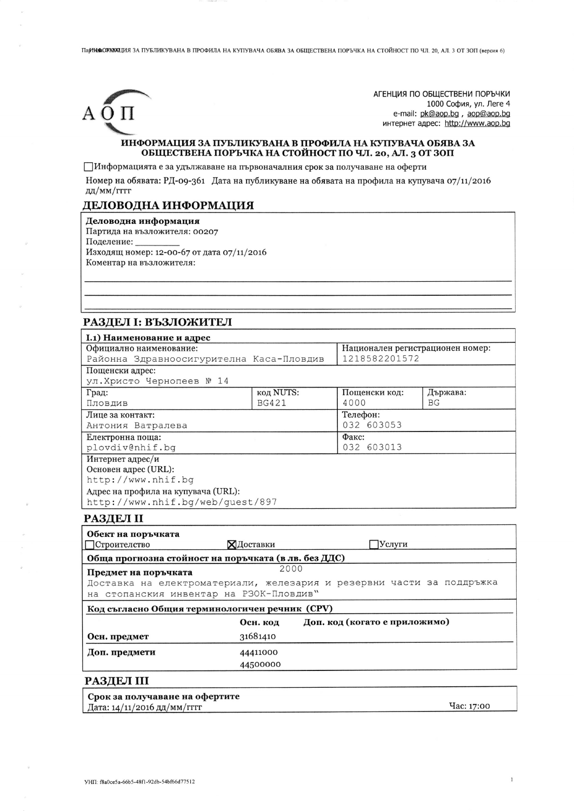ПарНЮФОРОСОДИЯЗА ПУБЛИКУВАНА В ПРОФИЛА НА КУПУВАЧА ОБЯВА ЗА ОБЩЕСТВЕНА ПОРЪЧКА НА СТОЙНОСТ ПО ЧЛ. 20, АЛ. 3 ОТ 30П (версия 6)



АГЕНЦИЯ ПО ОБЩЕСТВЕНИ ПОРЪЧКИ 1000 София, ул. Леге 4 e-mail: pk@aop.bg, aop@aop.bg интернет адрес: http://www.aop.bg

#### ИНФОРМАЦИЯ ЗА ПУБЛИКУВАНА В ПРОФИЛА НА КУПУВАЧА ОБЯВА ЗА ОБЩЕСТВЕНА ПОРЪЧКА НА СТОЙНОСТ ПО ЧЛ. 20, АЛ. 3 ОТ ЗОП

ПИнформацията е за удължаване на първоначалния срок за получаване на оферти

Номер на обявата: РД-09-361 Дата на публикуване на обявата на профила на купувача 07/11/2016 дд/мм/гггг

## ДЕЛОВОДНА ИНФОРМАЦИЯ

Деловодна информация Партида на възложителя: 00207 Поделение: Изходящ номер: 12-00-67 от дата 07/11/2016

Коментар на възложителя:

# РАЗДЕЛ І: ВЪЗЛОЖИТЕЛ

| <b>I.1) Наименование и адрес</b>         |              |                                  |          |
|------------------------------------------|--------------|----------------------------------|----------|
| Официално наименование:                  |              | Национален регистрационен номер: |          |
| Районна Здравноосигурителна Каса-Пловдив |              | 1218582201572                    |          |
| Пощенски адрес:                          |              |                                  |          |
| ул.Христо Чернопеев № 14                 |              |                                  |          |
| Град:                                    | код NUTS:    | Пощенски код:                    | Държава: |
| Пловдив                                  | <b>BG421</b> | 4000                             | BG       |
| Лице за контакт:                         |              | Телефон:                         |          |
| Антония Ватралева                        |              | 032 603053                       |          |
| Електронна поща:                         |              | Факс:                            |          |
| plovdiv@nhif.bq                          |              | 032 603013                       |          |
| Интернет адрес/и                         |              |                                  |          |
| Основен адрес (URL):                     |              |                                  |          |
| http://www.nhif.bq                       |              |                                  |          |
| Адрес на профила на купувача (URL):      |              |                                  |          |
| http://www.nhif.bg/web/quest/897         |              |                                  |          |

## РАЗДЕЛ II

| Обект на поръчката<br>Строителство                                    | ХДоставки | Услуги                        |  |  |
|-----------------------------------------------------------------------|-----------|-------------------------------|--|--|
| Обща прогнозна стойност на поръчката (в лв. без ДДС)                  |           |                               |  |  |
| 2000<br>Предмет на поръчката                                          |           |                               |  |  |
| Доставка на електроматериали, железария и резервни части за поддръжка |           |                               |  |  |
| на стопанския инвентар на РЗОК-Пловдив"                               |           |                               |  |  |
| Код съгласно Общия терминологичен речник (CPV)                        |           |                               |  |  |
|                                                                       | Осн. код  | Доп. код (когато е приложимо) |  |  |
| Осн. предмет                                                          | 31681410  |                               |  |  |
| Доп. предмети                                                         | 44411000  |                               |  |  |
|                                                                       | 44500000  |                               |  |  |
| <b>РАЗДЕЛ III</b>                                                     |           |                               |  |  |

Срок за получаване на офертите Дата: 14/11/2016 дд/мм/гггг

**Hac: 17:00** 

 $\overline{1}$